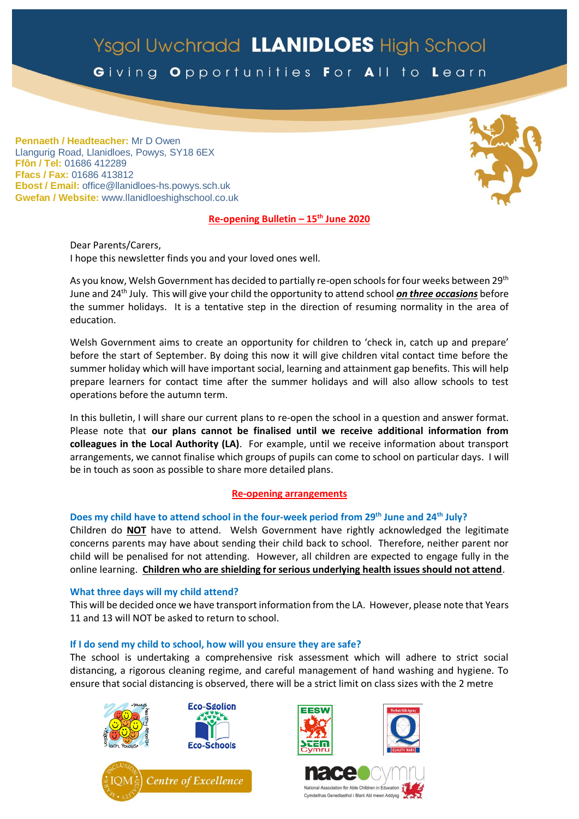# Ysgol Uwchradd LLANIDLOES High School

Giving Opportunities For All to Learn

**Pennaeth / Headteacher:** Mr D Owen Llangurig Road, Llanidloes, Powys, SY18 6EX **Ffôn / Tel:** 01686 412289 **Ffacs / Fax:** 01686 413812 **Ebost / Email:** office@llanidloes-hs.powys.sch.uk **Gwefan / Website:** www.llanidloeshighschool.co.uk

# **Re-opening Bulletin – 15th June 2020**

Dear Parents/Carers, I hope this newsletter finds you and your loved ones well.

As you know, Welsh Government has decided to partially re-open schools for four weeks between 29<sup>th</sup> June and 24th July. This will give your child the opportunity to attend school *on three occasions* before the summer holidays. It is a tentative step in the direction of resuming normality in the area of education.

Welsh Government aims to create an opportunity for children to 'check in, catch up and prepare' before the start of September. By doing this now it will give children vital contact time before the summer holiday which will have important social, learning and attainment gap benefits. This will help prepare learners for contact time after the summer holidays and will also allow schools to test operations before the autumn term.

In this bulletin, I will share our current plans to re-open the school in a question and answer format. Please note that **our plans cannot be finalised until we receive additional information from colleagues in the Local Authority (LA)**. For example, until we receive information about transport arrangements, we cannot finalise which groups of pupils can come to school on particular days. I will be in touch as soon as possible to share more detailed plans.

# **Re-opening arrangements**

# **Does my child have to attend school in the four-week period from 29th June and 24th July?**

Children do **NOT** have to attend. Welsh Government have rightly acknowledged the legitimate concerns parents may have about sending their child back to school. Therefore, neither parent nor child will be penalised for not attending. However, all children are expected to engage fully in the online learning. **Children who are shielding for serious underlying health issues should not attend**.

# **What three days will my child attend?**

This will be decided once we have transport information from the LA. However, please note that Years 11 and 13 will NOT be asked to return to school.

# **If I do send my child to school, how will you ensure they are safe?**

The school is undertaking a comprehensive risk assessment which will adhere to strict social distancing, a rigorous cleaning regime, and careful management of hand washing and hygiene. To ensure that social distancing is observed, there will be a strict limit on class sizes with the 2 metre







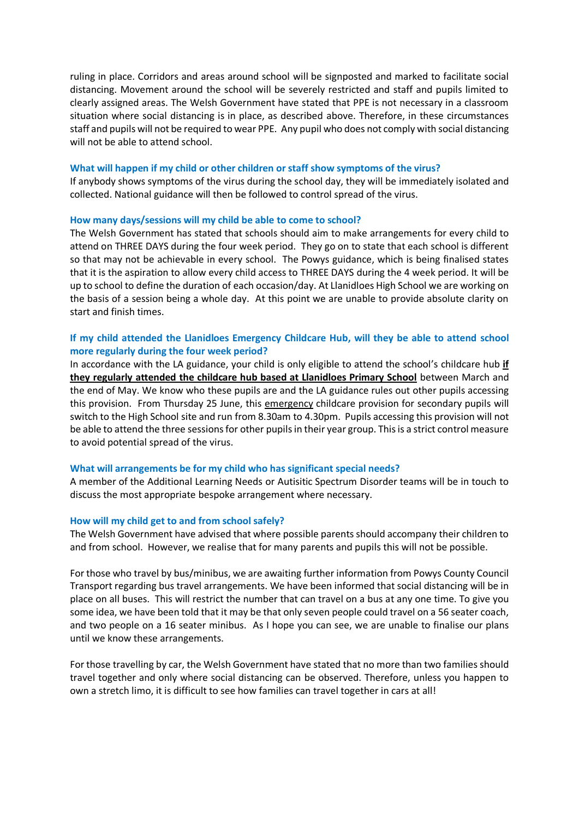ruling in place. Corridors and areas around school will be signposted and marked to facilitate social distancing. Movement around the school will be severely restricted and staff and pupils limited to clearly assigned areas. The Welsh Government have stated that PPE is not necessary in a classroom situation where social distancing is in place, as described above. Therefore, in these circumstances staff and pupils will not be required to wear PPE. Any pupil who does not comply with social distancing will not be able to attend school.

## **What will happen if my child or other children or staff show symptoms of the virus?**

If anybody shows symptoms of the virus during the school day, they will be immediately isolated and collected. National guidance will then be followed to control spread of the virus.

## **How many days/sessions will my child be able to come to school?**

The Welsh Government has stated that schools should aim to make arrangements for every child to attend on THREE DAYS during the four week period. They go on to state that each school is different so that may not be achievable in every school. The Powys guidance, which is being finalised states that it is the aspiration to allow every child access to THREE DAYS during the 4 week period. It will be up to school to define the duration of each occasion/day. At Llanidloes High School we are working on the basis of a session being a whole day. At this point we are unable to provide absolute clarity on start and finish times.

# **If my child attended the Llanidloes Emergency Childcare Hub, will they be able to attend school more regularly during the four week period?**

In accordance with the LA guidance, your child is only eligible to attend the school's childcare hub **if they regularly attended the childcare hub based at Llanidloes Primary School** between March and the end of May. We know who these pupils are and the LA guidance rules out other pupils accessing this provision. From Thursday 25 June, this emergency childcare provision for secondary pupils will switch to the High School site and run from 8.30am to 4.30pm. Pupils accessing this provision will not be able to attend the three sessions for other pupils in their year group. This is a strict control measure to avoid potential spread of the virus.

#### **What will arrangements be for my child who has significant special needs?**

A member of the Additional Learning Needs or Autisitic Spectrum Disorder teams will be in touch to discuss the most appropriate bespoke arrangement where necessary.

#### **How will my child get to and from school safely?**

The Welsh Government have advised that where possible parents should accompany their children to and from school. However, we realise that for many parents and pupils this will not be possible.

For those who travel by bus/minibus, we are awaiting further information from Powys County Council Transport regarding bus travel arrangements. We have been informed that social distancing will be in place on all buses. This will restrict the number that can travel on a bus at any one time. To give you some idea, we have been told that it may be that only seven people could travel on a 56 seater coach, and two people on a 16 seater minibus. As I hope you can see, we are unable to finalise our plans until we know these arrangements.

For those travelling by car, the Welsh Government have stated that no more than two families should travel together and only where social distancing can be observed. Therefore, unless you happen to own a stretch limo, it is difficult to see how families can travel together in cars at all!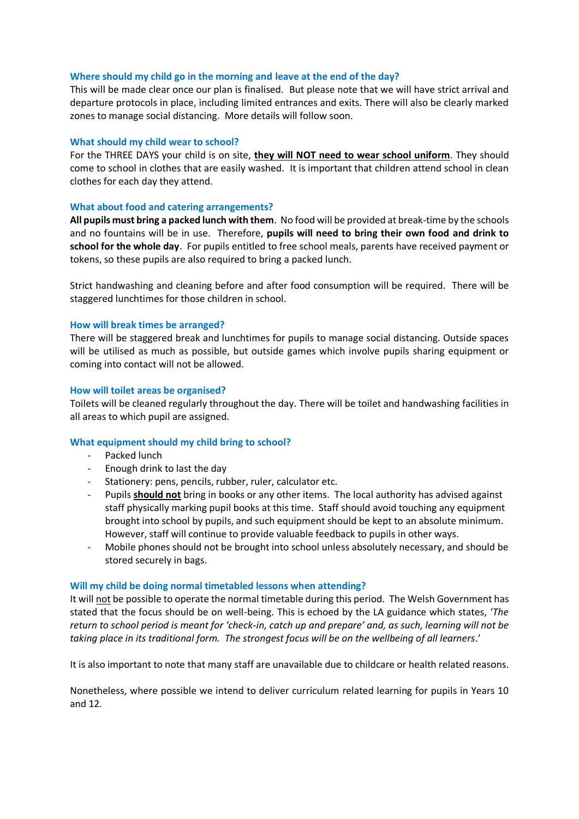## **Where should my child go in the morning and leave at the end of the day?**

This will be made clear once our plan is finalised. But please note that we will have strict arrival and departure protocols in place, including limited entrances and exits. There will also be clearly marked zones to manage social distancing. More details will follow soon.

## **What should my child wear to school?**

For the THREE DAYS your child is on site, **they will NOT need to wear school uniform**. They should come to school in clothes that are easily washed. It is important that children attend school in clean clothes for each day they attend.

## **What about food and catering arrangements?**

**All pupils must bring a packed lunch with them**. No food will be provided at break-time by the schools and no fountains will be in use. Therefore, **pupils will need to bring their own food and drink to school for the whole day**. For pupils entitled to free school meals, parents have received payment or tokens, so these pupils are also required to bring a packed lunch.

Strict handwashing and cleaning before and after food consumption will be required. There will be staggered lunchtimes for those children in school.

## **How will break times be arranged?**

There will be staggered break and lunchtimes for pupils to manage social distancing. Outside spaces will be utilised as much as possible, but outside games which involve pupils sharing equipment or coming into contact will not be allowed.

#### **How will toilet areas be organised?**

Toilets will be cleaned regularly throughout the day. There will be toilet and handwashing facilities in all areas to which pupil are assigned.

# **What equipment should my child bring to school?**

- Packed lunch
- Enough drink to last the day
- Stationery: pens, pencils, rubber, ruler, calculator etc.
- Pupils **should not** bring in books or any other items. The local authority has advised against staff physically marking pupil books at this time. Staff should avoid touching any equipment brought into school by pupils, and such equipment should be kept to an absolute minimum. However, staff will continue to provide valuable feedback to pupils in other ways.
- Mobile phones should not be brought into school unless absolutely necessary, and should be stored securely in bags.

#### **Will my child be doing normal timetabled lessons when attending?**

It will not be possible to operate the normal timetable during this period. The Welsh Government has stated that the focus should be on well-being. This is echoed by the LA guidance which states, '*The return to school period is meant for 'check-in, catch up and prepare' and, as such, learning will not be taking place in its traditional form. The strongest focus will be on the wellbeing of all learners*.'

It is also important to note that many staff are unavailable due to childcare or health related reasons.

Nonetheless, where possible we intend to deliver curriculum related learning for pupils in Years 10 and 12.